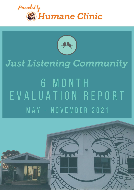



# **Just Listening Community** 6 MONTH EVALUATION REPORT MAY - NOVEMBER 2021

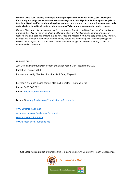Humane Clinic, Just Listening Wamangka Tarntanyaku yuwanthi. Humane Clinicrlu, Just Listeningrlu. Kaurna Miyurna yaitya yarta-mathanya, kauwi-mathanya tampinthi. Ngadlurlu Purkarna pukiana, yalarra tampinthi. Ngadlurlu Kaurna Miyurnaku yailtya, parnuku tapa purruna puru purruna, kuma parnuku tuwila yartangka tampinthi. Ngadlurlu tampinthi kumartarna Yaitya Miyurna warrunangku iyangka pudnima

*Humane Clinic would like to acknowledge the Kaurna people as the traditional owners of the lands and waters of the Adelaide region on which the Humane Clinic and Just Listening operates. We pay our respects to Elders past and present. We acknowledge and respect the Kaurna people's cultural, spiritual, physical and emotional connection with their land, waters and community. We also acknowledge and respect the Aboriginal and Torres Strait Islander and other Indigenous peoples that may visit or be represented at the centre.*

HUMANE CLINIC

Just Listening Community six monthly evaluation report May – November 2021 Published February 2022 Report compiled by Matt Ball, Rory Ritchie & Berny Maywald

For media enquiries please contact Matt Ball, Director – Humane Clinic: Phone: 0466 368 022 Email: [info@humaneclinic.com.au](mailto:info@humaneclinic.com.au)

Donate @ [www.gofundme.com/f/JustListeningCommunity](http://www.gofundme.com/f/JustListeningCommunity)

[www.justlistening.com.au](http://www.justlistening.com.au/) [www.facebook.com/justlisteningcommunity](http://www.facebook.com/justlisteningcommunity) [www.humaneclinic.com.au](http://www.humaneclinic.com.au/) [www.facebook.com/humaneclinic](http://www.facebook.com/humaneclinic)

Just Listening is a project of Humane Clinic, in partnership with Community Health Onkaparinga

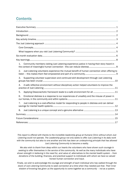# **Contents**

| $\mathbf{1}$ . | Community members visiting Just Listening experience justice in having their story heard in   |  |
|----------------|-----------------------------------------------------------------------------------------------|--|
| 2.             | Just Listening volunteers experience the mutual benefit of human connection when offering to  |  |
| 3.             | Supporting volunteer supervision and continued skill development through Just Listening       |  |
| 4.             | A safe reflective environment without disciplinary action helped volunteers to improve the    |  |
| 5.             |                                                                                               |  |
| 6.             | Emotional distress is a response to our experiences of unsafety and the misuse of power in    |  |
| 7.             | Just Listening is a cost-effective model for responding to people in distress and can deliver |  |
| 8.             |                                                                                               |  |
|                |                                                                                               |  |
|                |                                                                                               |  |
|                |                                                                                               |  |

*This report is offered with thanks to the incredible leadership group at Humane Clinic without whom Just Listening could not operate. The Leadership group not only seeks to offer Just Listening in its daily work*  with the community but also to one another and this has been an underpinning principle that has allowed *Just Listening Community to become a reality.*

*We also wish to thank from deep within our hearts the volunteers who have shown such courage in seeking to offer themselves in the service of the community. As well as the many individuals who have shown strength in believing in the need for, and value of, alternatives to the mental health system – from donations of the building, finances, and practical support to individuals with whom we have so valued honest human connection and input.*

*Finally, we wish to acknowledge the courage and strength of each individual who has walked through the doors of Just Listening Community to seek connection at a time when they needed just that. Their inner wisdom of knowing has given us the opportunity to come together as a community – not as a system.*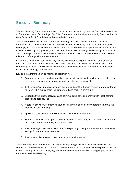# <span id="page-3-0"></span>Executive Summary

The Just Listening Community is a project conceived and delivered by Humane Clinic with the support of Community Health Onkaparinga, Fay Fuller Foundation, the Hackham Community Sports and Social Club, Suzanne Elliot Foundation, and other private donors.

This report provides explanation of the Just Listening approach, delivery of the Just Listening Community as a genuine alternative for people experiencing distress, some evaluation data, key learnings, and future considerations derived from the first six-months of operation. While a 12-month evaluation was originally planned, such has been the success, learnings, and evolving innovation of Just Listening Community, the leadership team at Humane Clinic has made the decision to release this report offering a six-month evaluation.

In the first six months of service delivery (May to November 2021) Just Listening Community was open for a total of 311 hours over 81 days. During this time there were 215 individual visits from community members. All 215 visitors were offered one on one listening and human connection by trained Just Listening volunteer staff.

Key learnings from the first six months of operation were:

- 1. Community members visiting Just Listening experience justice in having their story heard in the context of meaningful human connection - this can reduce distress
- 2. Just Listening volunteers experience the mutual benefit of human connection when offering to listen – this makes them feel empowered and part of a community
- 3. Supporting volunteer supervision and continued skill development through Just Listening groups has been crucial
- 4. A safe reflective environment without disciplinary action helped volunteers to improve the practice of Just Listening
- 5. Applying Dissociachotic framework leads to a safe environment for all
- 6. Emotional distress is a response to our experiences of unsafety and the misuse of power in our homes, in the community and within systems
- 7. Just Listening is a cost-effective model for responding to people in distress and can deliver savings for mental health systems
- 8. Just Listening is a unique concept and a genuine alternative

These learnings have borne future considerations regarding expansion of service delivery in the context of cost effectiveness in comparison to other mental health services, and the potential for the model to be applied in workplaces, regional and remote communities, with young people, and in a therapeutic residential setting.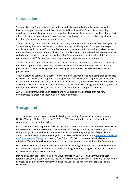## <span id="page-4-0"></span>Introduction

The Just Listening Community is a psychotherapeutically informed alternative to accessing the hospital emergency department (ED) or other mental health services for people experiencing emotional or mental distress, in whatever way that distress may be expressed. Just Listening seeks to offer justice to a person's story and experience of living through the process of listening with the intention of meaningful human to human connection.

The Just Listening Community can be accessed by any member of the community over the age of 18. Those entering the space can remain completely anonymous if they wish. To support and respect people's anonymity, no specific or identifying data is collected aside from keeping a tally of the total number of people who walk through the door and are listened to. Informal feedback is often received verbally from people as they exit the Just Listening Community, reflecting the value of the service as a real alternative to ED for people experiencing unsafety or distress in our community.

The Just Listening Community prioritises the person and their story over the needs of the service or the needs of professionals. Reducing the medicalisation of understandable human distress is a positive step towards resolving the ever-increasing encumbrance of mental health services in people's lives.

The Just Listening Community is delivered by community volunteers who have completed specialised training in the Just Listening approach. Development of the Just Listening approach, training, and management of the service, staff, and volunteers is delivered by the multidisciplinary leadership team at Humane Clinic. Just Listening Community does not receive public funding and operates by virtue of the support of Humane Clinic, private philanthropic contributions, and public donations.

Just Listening Community is a non-coercive and non-pathologizing approach that has now demonstrated its proof of concept over 6 months of operation.

## <span id="page-4-1"></span>**Background**

Just Listening Community was conceived following a screening of the social action documentary Healing Voices in Christies Beach in 2016. Over 150 people attended the screening and the community conversation that followed.

In 2019 Humane Clinic in partnership with Oryx Cohen and PJ Monahan convened the five-day event ReAwaken Australia. ReAwaken Australia focussed on 'creating community and meaningful action to shift paradigms in mental health, trauma, and addiction' and brought together 120 people from around the world. One of these meaningful actions was the development of the *[ReAwaken Manifesto](https://www.humaneclinic.com.au/publications)  [for Compassionate Change](https://www.humaneclinic.com.au/publications)*, authored by Oryx Cohen [\(2019\)](https://www.reawakenaustralia.com.au/the-manifesto#:~:text=The%20ReAwaken%20Manifesto%20was%20born,and%20vision%20of%20these%20leaders.) in consultation with ReAwaken attendees. The Manifesto has been adopted as the value statement for Just Listening Community.

Humane Clinic has driven the development of the Just Listening Community as a genuine community led alternative for people in emotional distress and brings together a range of theories and concepts to deliver an evidence-based approach.

Moving away from the reliance on any individual profession, Just Listening Community is about returning power to the community and moving away from potentially harmful traditional mental health services, as identified by the former United Nations Special Rapporteur on the Right to Health, Dainius Pūras,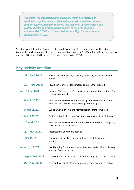*"Coercion, medicalization and exclusion, which are vestiges of traditional psychiatric care relationships, must be replaced with a modern understanding of recovery and evidence-based services that restore dignity and return rights holders to their families and communities." (Office of the United Nations High Commissioner for Human Rights, 2017)* 

Seeking to apply learnings from alternative models operating in other settings, Just Listening Community has incorporated the four recommendations found in PriceWaterhouseCoopers' economic analysis of St. Vincent's Hospital's Safe Haven Café service (2018).

## <span id="page-5-0"></span>Key activity timeline

| $\rightarrow 29$ <sup>th</sup> April 2016: | Idea conceived following screening of Healing Voices at Christies<br><b>Beach</b>                               |
|--------------------------------------------|-----------------------------------------------------------------------------------------------------------------|
| $\rightarrow 12$ <sup>th</sup> April 2019: | ReAwaken Manifesto for compassionate change created                                                             |
| $\rightarrow$ 1 <sup>st</sup> Jan 2020:    | Humane Clinic funds staff to work on development and set up of Just<br><b>Listening Community</b>               |
| $\rightarrow$ March 2020:                  | Humane Mental Health Centre building purchased and donated to<br>Humane Clinic to open Just Listening Community |
| $\rightarrow$ March 2021:                  | Building works on Humane Mental Health centre completed                                                         |
| $\rightarrow$ March 2021:                  | First cohort of Just Listening volunteers complete six-week training                                            |
| $\rightarrow$ 12 April 2021:               | Humane Mental Health Centre officially opened by Erin Thompson,<br>Mayor of City of Onkaparinga                 |
| $\rightarrow 27$ <sup>th</sup> May 2021:   | Just Listening Community opened                                                                                 |
| $\rightarrow$ June 2021:                   | 2nd cohort of Just Listening volunteers complete six-week<br>training                                           |
| $\rightarrow$ August 2021:                 | Just Listening Community opening hours expanded after initial two<br>months of service delivery                 |
| $\rightarrow$ September 2021:              | Third cohort of Just Listening volunteers complete six-week training                                            |
| $\rightarrow 27$ <sup>th</sup> Nov 2021:   | Six months of Just Listening Community being open to the public                                                 |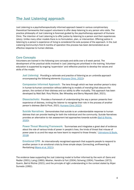## <span id="page-6-0"></span>The Just Listening approach

Just Listening is a psychotherapeutically informed approach based in various complimentary theoretical frameworks that support volunteers to offer deep listening to any person who visits. The practice philosophy of Just Listening is foremost guided by the psychotherapy approach of Humane Clinic. The intention of Just Listening is to offer justice by listening to a person and their experiences (story). Unlike many other models there is no formulation, plan, or intervention. Offering justice in listening to a person's experience of living is considered the sole purpose of the approach. In the Just Listening Community's first 6 months of operation this process has been demonstrated as an effective response to human distress.

#### <span id="page-6-1"></span>Core Concepts

Volunteers are trained in the following core concepts and skills over a 6-week period. The development of the practical skills involved in Just Listening are prioritised in the training. Volunteer education is supported by ongoing 'supervision' and reflective practice to develop the values and skills of the model.

*Just Listening: Providing a rationale and practice of listening as an umbrella approach encompassing the following elements [\(Humane Clinic, 2022\)](https://www.justlistening.com.au/):*

Compassion Informed Approach: The lens through which we hear another person's story in human-to-human connection without deferring to *models of mending* that obscure the person, the context of their distress and our ability to offer mutuality. This approach has been developed by Matt Ball. Rory Ritchie, Bec Wheatley and Berny Maywald (Ball, 2021).

Dissociachotic: Provides a framework of understanding the way a person presents their experience of distress, inviting the listener to recognise their role in the process of another person's distress (Ball & Picot, 2021[; Humane Clinic 2022\)](https://www.humaneclinic.com.au/dissociachotic).

Suicide Narratives: Demonstrates that suicide is an understandable response to human distress that can provide healing for both the individual and the community. Suicide Narratives provides an alternative to risk assessment led approaches towards suicide [\(Ball & Ritchie,](https://www.humaneclinic.com.au/_files/ugd/7fe266_d64ec778e5f943c8aaf92c03c842c0b2.pdf)  [2020\)](https://www.humaneclinic.com.au/_files/ugd/7fe266_d64ec778e5f943c8aaf92c03c842c0b2.pdf).

Power Threat Meaning Framework: 'Summarises and integrates a great deal of evidence about the role of various kinds of power in people's lives, the kinds of threat that misuse of power pose to us and the ways we have learnt to respond to those threats.' [\(Johnstone & Boyle,](https://www.bps.org.uk/sites/bps.org.uk/files/Policy%20-%20Files/PTM%20Main.pdf)  [2018\)](https://www.bps.org.uk/sites/bps.org.uk/files/Policy%20-%20Files/PTM%20Main.pdf)

Emotional CPR: An internationally recognised approach that supports people to respond to another person in an emotional crisis by three simple steps: Connecting, emPowering & Revitalizing [\(Myers et al, 2021\)](https://jopm.jmir.org/2021/1/e25867).

The evidence base supporting the Just Listening model is further informed by the work of: Gans and Redler (2001); Laing (1960); Mosher, Hendrix & Fort (2004); Schwing (1954); Travelbee (1972); Guerin, Ball & Ritchie (2021); and the principle of right understanding in the context stated by Ahjan Sumedo (1992).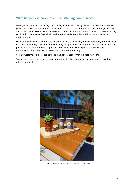### <span id="page-7-0"></span>What happens when you visit Just Listening Community?

When you arrive at Just Listening Community you are welcomed by the Shift Leader who introduces you to the space and the intention of the service. You are then introduced to a Listener (volunteer) and invited to choose the place you feel most comfortable within the environment to share your story. Our location in Christies Beach includes both open and more private indoor spaces, as well as outdoor spaces.

No intake paperwork is undertaken, consistent with the anonymity and confidentiality offered at Just Listening Community. This prioritises your story, as opposed to the needs of the service. An important principle here is that requiring paperwork to be completed when a person arrives creates disconnection and therefore increases the potential for unsafety.

You are welcome to be listened to for as long as you need within the opening hours.

You are free to end the connection when you feel it is right for you and are encouraged to return as often as you wish.



An outdoor listening space at Just Listening Community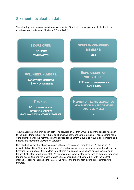## <span id="page-8-0"></span>Six-month evaluation data

The following data demonstrates the achievements of the Just Listening Community in the first six months of service delivery (27 May to 27 Nov 2021).



The Just Listing Community began delivering services on 27 May 2021. Initially the service was open to the public from 4:30pm to 7:30pm on Thursday, Friday, and Saturday nights. These opening hours were extended after two months, with the service opening from 2:30pm to 7:30pm on Thursdays and Fridays, and 4:30pm to 7:30pm on Saturdays.

Over the first six months of service delivery the service was open for a total of 311 hours on 81 individual days. During this time there were 215 individual visits from community members to the Just Listening Community. All 215 visitors were offered one on one listening and human connection by trained Just Listening volunteer staff. As visitors are welcome to stay for as long as they feel they need (during opening hours), the length of visits varies depending on the individual, with the longest offering of listening lasting approximately five hours, and the shortest lasting approximately five minutes.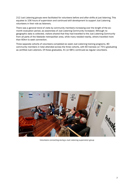212 Just Listening groups were facilitated for volunteers before and after shifts at just listening. This equates to 106 hours of supervision and continued skill development to support Just Listening volunteers in their role as listeners.

There was a general trend of visits by community members increasing over the length of the sixmonth evaluation period, as awareness of Just Listening Community increased. Although no geographic data is collected, visitors shared that they had travelled to the Just Listening Community from all parts of the Adelaide metropolitan area, while many resided nearby, others travelled more than 60km to seek connection.

Three separate cohorts of volunteers completed six week Just Listening training programs. 80 community members in total attended across the three cohorts, with 60 trainees (or 75%) graduating as certified Just Listeners. Of these graduates, 41 (or 68%) continued as regular volunteers.



Volunteers connecting during a Just Listening *supervision* group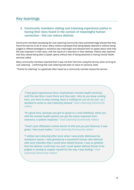## <span id="page-10-0"></span>Key learnings

## <span id="page-10-1"></span>1. Community members visiting Just Listening experience justice in having their story heard in the context of meaningful human connection - this can reduce distress

Community members accessing the Just Listening Community have overwhelmingly shared that they found the service to be of value. Many visitors expressed that being deeply listened to without being judged or offered strategies or solutions was meaningful and allowed them to speak about what they felt was important in their story, with the result of a reduction in their distress. Visitors also reported that they valued being able to speak openly without fear of being detained or having mental health services called.

Many community members reported that it was not their first time using the service when arriving at Just Listening – confirming that Just Listening had been of value on previous visits.

"Thanks for listening" is a gratitude often heard as a community member leaves the service.

*"I had good experiences there (mainstream mental health services), until the last time I went there and they said, 'why do you keep coming here, you have to stop coming, there's nothing we can do for you', so I decided to come to Just Listening instead." (Just Listening Community visitor)* 

*"It's good here, because you get to speak to a real individual, when you visit the mental health system you get the same response from everyone, a system response." (Just Listening Community visitor)* 

*"Yeah! I just offloaded a whole bunch of shit and you just listened, it was great. I feel much better." (Just Listening Community visitor)* 

*"I visited Just Listening after work when I was pretty distressed by workplace issues. I was greeted by a wonderful human who listened with such intention that I could have talked forever. I was so grateful that the listener could hear me and I could speak without threat of be judged or having to explain myself for the way I was feeling." (Just Listening Community visitor)*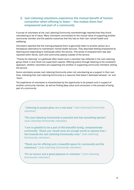## <span id="page-11-0"></span>2. Just Listening volunteers experience the mutual benefit of human connection when offering to listen – this makes them feel empowered and part of a community

A survey of volunteers at the Just Listening Community overwhelmingly reported that they found volunteering to be of value. Many volunteers commented on the mutual value of supporting another community member and the positive outcomes that this had on their own mental health and wellbeing.

Volunteers reported that the training prepared them to genuinely listen to another person as a therapeutic alternative to mainstream mental health services. They described feeling empowered by listening and responding to individuals within the service. This sense of empowerment was also reported within family, work and community spaces outside of the service.

"Thanks for listening" is a gratitude often heard once a volunteer has reflected in the Just Listening group check in and check out *supervision* spaces. Offering justice through listening is the consistent approach, whether volunteers are supporting one another or supporting community members visiting the service.

Some volunteers access Just Listening Community when not volunteering as a support in their own lives, indicating that Just Listening Community is a resource that doesn't delineate between 'us' and 'them'.

The experience of volunteers is characterised by the opportunity to be present and in support of another community member, as well as finding deep value and connection in the process of being part of a community.

 *"Listening to people gives me a real buzz." (Just Listening Community volunteer)* 

"The Just Listening Community is peaceful and has something special." *(Just Listening Community volunteer)* 

*"I am so grateful to be a part of this beautiful loving, compassionate community. 'Thank you' would never be enough words to express how I feel towards the Just Listening Community crew." (Just Listening Community volunteer)* 

*"Thank you for offering such a beautiful space for community and the volunteers." (Just Listening Community volunteer)* 

*"It's an honour and a great pleasure to volunteer." (Just Listening Community volunteer)*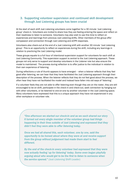#### <span id="page-12-0"></span>3. Supporting volunteer supervision and continued skill development through Just Listening groups has been crucial

At the start of each shift Just Listening volunteers come together for a 30 minute 'Just Listening group' check-in. Volunteers are invited to share how they are feeling entering the space and reflect on their readiness to listen to someone. Volunteers may also wish to use this time to reflect on experiences and learnings from previous Just Listening shifts. Other members of the group offer compassion and connection through Just Listening and eCPR responses.

Volunteers also check-out at the end of a Just Listening shift with another 30 minute 'Just Listening group'. This is an opportunity to reflect on experiences during the shift, including any learnings in relation to practicing the Just Listening model.

These groups equate to a full hour of intentional supervision support for volunteers for each shift at Just Listening Community. This supervision support is central to the Just Listening approach. These groups not only serve to support and develop volunteers in the Listener role but also ensure the model is maintained. The process during reflection is to offer justice to the individual in relation to their own experience of listening.

During reflections a rule of thumb appears to have emerged – when a listener reflects that they feel good after listening, we can hear that they have facilitated the Just Listening approach through their description of the process. When the listener reflects that they do not feel good about the process, we often hear they have not facilitated the model and instead have fallen into old ways of 'listening'.

If a volunteer feels they are not able to offer listening even though they are on the roster, they are still encouraged to be on shift, participate in the check-in and check-out, seek connection by hanging out with other volunteers, or be listened to one-on-one by another volunteer in the Just Listening space. Many volunteers have expressed that this is a unique approach they have not experienced in any other workplace or volunteer role.

*"One afternoon we started our check-in and as we each shared our story it turned out every single member of the volunteer group had things happening in their lives outside of Just Listening and expressed that they didn't feel they were able to offer listening today.* 

*Once we had all shared this, each volunteer, one by one, said the opportunity to be honest about where they were at and receive support from the group without judgement had made them start to feel different.* 

*By the end of the check-in every volunteer had expressed that they were now actually feeling 'up for listening' today. Some even began playfully arguing about who would get to be the first to listen to someone when the service opened." (Just Listening Shift Leader)*

Ì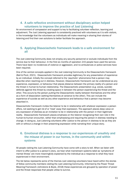## <span id="page-13-0"></span>4. A safe reflective environment without disciplinary action helped volunteers to improve the practice of Just Listening

An environment of compassion and support is key to facilitating volunteer reflection, learning and adjustment. The Just Listening approach is consistently practiced with volunteers as it is with visitors, in the knowledge that the volunteers as individuals will make meaning in sharing their stories of listening and find their own solutions to better facilitate the approach.

#### <span id="page-13-1"></span>5. Applying Dissociachotic framework leads to a safe environment for all

The Just Listening Community does not employ any security personnel or exclude individuals from the service due to their behaviour. In the first six months of operation 215 people have used the service. There have been no incidences of violence or aggression, and no ambulances or police services have been required.

One of the central concepts applied in the Just Listening Community is the Dissociachotic framework (Ball & Picot, 2021). Dissociachotic framework provides legitimacy for any presentation of experience by an individual. Initially the concept referred to the 'psychotic' phenomena that a person may describe when reaching out in distress. However, Dissociachotic framework can be understood as any experience, expression, or behaviour that places distance between the primary reality of a person and the threat in human-to-human relationship. The Dissociachotic presentation (e.g. voices, suicide) defends against this threat by creating space in between the person experiencing the threat and the other. This occurs by the person *putting* the Dissociachotic reality between themselves and the other as a form of dissociation (setting themselves at variance to the other). This can include the experience of suicide as well as any other experience and behaviour that a person may become absorbed in.

Dissociachotic framework invites the listener to be in relationship with whatever expression a person offers, not seeking to get rid of or 'treat' away that expression. The approach places deep value on any expression of distress as an invitation to be in relationship with the person in their legitimate reality. Dissociachotic framework places emphasis on the listener recognising their own role in the human-to-human encounter, rather than emphasising and requiring the person in distress needing to change. In doing so, Just Listening volunteers offer Justice to the person in distress to be as they are with or without a change in their presenting expression while narrating their unique story.

### <span id="page-13-2"></span>6. Emotional distress is a response to our experiences of unsafety and the misuse of power in our homes, in the community and within systems

All people visiting the Just Listening Community have come with a story to tell. When we listen with intent to offer justice to a person's story, we hear what mainstream systems label as 'symptoms of mental illness' are more meaningfully explained by the individual as a response to what they have experienced in their environment.

The list below represents some of the themes Just Listening volunteers have heard within the stories of fellow community members visiting the Just Listening Community. Informed by the Power Threat Meaning Framework (Johnstone & Boyle, 2018) these experiences are grouped by operation of power and the threat responses that people utilise to survive.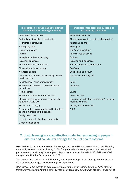#### The operation of power leading to distress presented at Just Listening Community

Childhood sexual abuse Suicidal experiences Cultural and linguistic discrimination Altered states (voices, visions, dissociation) Relationship difficulties Agitation and anger Rape/gang rape Self-injury Domestic violence Domestic violence Drug and alcohol use Racism Physical health issues Workplace problems/bullying North Charless Sadness **Isolation/loneliness** Isolation and loneliness Power imbalances in families **Hopelessness and desperation** Financial problems/poverty Confusion Not feeling heard Suspicion and distrust Let down, mistreated, or harmed by mental health system Impact and/or harm of medication Panic Powerlessness related to medication and prescribing Homelessness Crying Power imbalances with psychiatrists **Inability to eat** Physical health conditions or fear/anxiety related to COVID-19 Sexism and misogyny Anxiety and nervousness Discrimination in community and institutions due to a mental health diagnosis Family breakdown Loss of purpose in family or community Death of loved ones

#### Threat Responses presented by people at Just Listening Community

Difficulty expressing self

Insomnia

Ruminating, reflecting, interpreting, meaningmaking, planning

Grief

### <span id="page-14-0"></span>7. Just Listening is a cost-effective model for responding to people in distress and can deliver savings for mental health systems

Over the first six months of operation the average cost per individual presentation to Just Listening Community equated to approximately \$240. Comparatively, the average cost of a non-admitted presentation to public hospital emergency departments in South Australia in 2018-19 was \$667 (Independent Hospital Pricing Authority, 2021).

This equates to a cost saving of 64% for any person presenting at Just Listening Community as an alternative to attending a hospital emergency department.

*(This cost saving is likely to be even greater in real terms, given that the figure for Just Listening Community is calculated from the first six months of operation, during which the service was not at*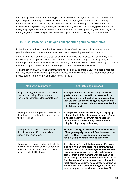*full capacity and maintained resourcing to service more individual presentations within the same operating cost. Operating at full capacity the average cost per presentation at Just Listening Community would be considerably less. Additionally, the most recently available data from the Independent Hospital Pricing Authority is more than two years old. The data suggests that the cost of emergency department presentations in South Australia is increasing annually and thus likely to be notably higher for the same period to which costings for the Just Listening Community refers.)* 

## <span id="page-15-0"></span>8. Just Listening is a unique concept and a genuine alternative

In the first six months of operation Just Listening has defined itself as a unique concept and a genuine alternative to other mental health services in responding to emotional distress.

Some community members said they had decided to come to the Just Listening Community rather than visiting the hospital ED. Others accessed Just Listening after being turned away from, or discharged from, mainstream services. Just Listening Community has also been utilised by community members as part of their support or discharge plan from mental health services.

As an indication of Just Listening Community's role as a genuine alternative, some people reported that they experience barriers to approaching mainstream services and for the first time felt able to access support for their emotional distress that felt safe.

| <b>Mainstream approach</b>                                                                                                                                                 | <b>Just Listening approach</b>                                                                                                                                                                                                                                                                                                                                                                                                                                                                                                                                  |
|----------------------------------------------------------------------------------------------------------------------------------------------------------------------------|-----------------------------------------------------------------------------------------------------------------------------------------------------------------------------------------------------------------------------------------------------------------------------------------------------------------------------------------------------------------------------------------------------------------------------------------------------------------------------------------------------------------------------------------------------------------|
| People seeking support must wait to be<br>seen without being offered human<br>connection, sometimes for several hours.                                                     | All people entering the Just Listening space are<br>greeted warmly and invited to be in connection with<br>a Just Listening volunteer. If all volunteers are busy,<br>then the Shift Leader begins a group space so that<br>no one entering the service is left alone to suffer the<br>risk of disconnection.                                                                                                                                                                                                                                                   |
| All people must undergo an assessment of<br>their distress - a subjective judgement by<br>the professional.                                                                | All people are offered respect, love, and dignity by<br>being invited to define their own experience of what<br>is happening for them, or what has happened to<br>them. Justice is offered through another human<br>being listening deeply to their story.                                                                                                                                                                                                                                                                                                      |
| If the person is assessed to be 'low risk'<br>then they are not offered immediate<br>support and must leave.                                                               | No story is too big or too small, all people and ways<br>of being are equally respected. People are welcome<br>to stay and be in connection for as long as they<br>need, within the opening hours of the service.                                                                                                                                                                                                                                                                                                                                               |
| If a person is assessed to be 'high risk' then<br>they may be detained, subject to treatment<br>orders and forcibly medicated or 'treated'<br>under the Mental Health Act. | It is acknowledged that the best way to offer safety<br>is to be in human connection. As a community run<br>service no person is detained against their will. The<br>person seeking support has a right to define what is<br>best for them in that moment, with the support of<br>Just Listening volunteers and the Shift Leader. In the<br>first six months of operation no person entering the<br>Just Listening Community was deemed 'too much' or<br>'too high risk'. Each person entering the service has<br>received support through human connection. No |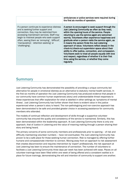|                                                                                                                                                                                                                                                                                                                                      | ambulances or police services were required during<br>the first six months of operation.                                                                                                                                                                                                                                                                                                                                                                                                                                                                                                                                                                                                                                    |
|--------------------------------------------------------------------------------------------------------------------------------------------------------------------------------------------------------------------------------------------------------------------------------------------------------------------------------------|-----------------------------------------------------------------------------------------------------------------------------------------------------------------------------------------------------------------------------------------------------------------------------------------------------------------------------------------------------------------------------------------------------------------------------------------------------------------------------------------------------------------------------------------------------------------------------------------------------------------------------------------------------------------------------------------------------------------------------|
| If a person continues to experience distress<br>and is seeking further support and<br>connection, they may be restricted from<br>accessing mainstream services. Staff may<br>begin to mistreat people who seek support<br>often, seeing them as 'annoying', 'difficult',<br>'manipulative', 'attention seeking' or<br>'challenging'. | A person is encouraged to seek support through the<br>Just Listening Community as often as they need,<br>within the opening hours of the service. People<br>returning to use the service again are welcomed<br>warmly. Volunteers often experience happiness and<br>gratitude when a person visits the service again, as<br>it means the person finds the Just Listening<br>approach of value. Volunteers reflect deeply in the<br>check-in/check-out supervision space about their<br>ability to offer justice, connection, and compassion.<br>Volunteers seek to treat all people equally with love<br>and respect, regardless of whether it is their first<br>time using the service, or whether they come<br>regularly. |

## <span id="page-16-0"></span>**Summary**

Just Listening Community has demonstrated the possibility of providing a unique community led alternative for people in emotional distress as an alternative to statutory mental health services. In the first six months of operation the Just Listening Community has produced evidence that people in our community have common human experiences (story) and understandable threat responses to these experiences that offer explanation for what is labelled in other settings as 'symptoms of mental illness'. Just Listening Community has further shown that there is evident value in the justice experienced when a person's story is heard. The non-pathologizing and non-coercive approach has been demonstrated to be safe and provided greater choice in accessing assistance for community members who attended.

The models of continual reflection and development of skills through a supportive volunteer community has ensured the quality and consistency of the service is maintained. Similarly, this has been demonstrated within the leadership approach. At Just Listening Community there is only one approach, that of Justice in Listening and the value of meaning making through a person sharing their story and being heard.

The primary concerns of some community members and professionals prior to opening – of risk and difficulty maintaining volunteer numbers – have not eventuated. The Just Listening Community has proven to be a safe place for those seeking human connection. Risk is managed by offering further humane and compassionate intention to connect. Moving away from an approach to risk assessment that creates disconnection and requires intervention by 'expert' professionals, the risk approach at Just Listening has been to ensure the maintenance of connection. The number of volunteers to facilitate a Just Listening Community three days per week has been achieved with ease. Places on all volunteer trainings have been filled within one week of being offered and a consistent waitlist is in place for future trainings, demonstrating the will and intention of community to support one another.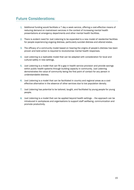# <span id="page-17-0"></span>Future Considerations:

- 1. Additional funding would facilitate a 7 day a week service, offering a cost-effective means of reducing demand on mainstream services in the context of increasing mental health presentations at emergency departments and other mental health facilities.
- 2. There is evident need for Just Listening to be expanded to a new model of residential facilities for people experiencing ongoing distress, particularly suicidal distress and altered states.
- 3. The efficacy of a community model based on hearing the origins of people's distress has been proven and bold action is required to revolutionise mental health responses.
- 4. Just Listening is a replicable model that can be adapted with consideration for local and cultural safety in new settings.
- 5. Just Listening is a model that can fill a gap in health service provision and provide savings within public health systems through building capacity in community. Just Listening demonstrates the value of community being the first point of contact for any person in understandable distress.
- 6. Just Listening is a model that can be facilitated in country and regional areas as a costeffective alternative in the absence of other services due to low population density.
- 7. Just Listening has potential to be tailored, taught, and facilitated by young people for young people.
- 8. Just Listening is a model that can be applied beyond health settings the approach can be introduced in workplaces and organisations to support staff wellbeing, communication and promote productivity.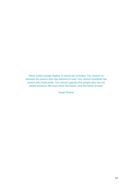"Once social change begins, it cannot be reversed. You cannot uneducate the person who has learned to read. You cannot humiliate the person who feels pride. You cannot oppress the people who are not afraid anymore. We have seen the future, and the future is ours"

Cesar Chavez